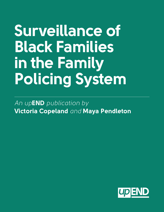# **Surveillance of Black Families in the Family Policing System**

*An up***END** *publication by*  **Victoria Copeland** *and* **Maya Pendleton**

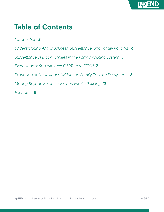

#### **Table of Contents**

*Introduction 3 Understanding Anti-Blackness, Surveillance, and Family Policing 4 Surveillance of Black Families in the Family Policing System 5 Extensions of Surveillance: CAPTA and FFPSA 7 Expansion of Surveillance Within the Family Policing Ecosystem 8 Moving Beyond Surveillance and Family Policing 10 Endnotes 11*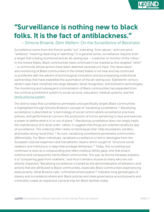

 *– Simone Browne, Dark Matters: On the Surveillance of Blackness*<sup>1</sup>

Surveillance stems from the French prefix "sur" indicating "from above," and root word "veillance" meaning observing or watching.<sup>2</sup> In a general sense, surveillance requires both a target that is being monitored and an all-seeing eye – a watcher or monitor of the "other." In the United States, Black communities have continued to be marked as this targeted "other" – a community whose actions have been deemed necessary to track. The observation and monitoring of Black communities in the United States is not new and has continued to proliferate with the advent of technological innovation and accompanying institutional partnerships that have expedited the automation of the all-seeing eye. Eighteenth century lantern laws have morphed into large datasets, facial recognition, and biometric technologies. The monitoring and subsequent criminalization of Black communities has expanded from the criminal punishment system to social services, education, medical systems, and the [family policing system](https://upendmovement.org/family-policing-definition/).

The distinct ways that surveillance permeates and specifically targets Black communities is highlighted through Simone Browne's concept of "racializing surveillance."3 Racializing surveillance is described as "a technology of social control where surveillance practices, policies, and performances concern the production of norms pertaining to race and exercise a power to define what is in or out of place."4 Racializing surveillance does not simply imply the maintenance of a racial order; rather, it suggests that things are ordered racially by way of surveillance. This ordering often relies on techniques that "reify boundaries, borders, and bodies along racial lines."<sup>5</sup> As such, racializing surveillance penetrates communities differentially. For Black individuals, racialized surveillance is tied to ideologies from the European colonial expansion and transatlantic slavery which sought to "structure social relations and institutions in ways that privilege Whiteness."<sup>6</sup> Today, the surveilling eye continues to exist as a compounding and often insidious White gaze, one that enacts violence and subsequently harms Black communities. This eye, as Donna Haraway explains, is a "conquering gaze from nowhere," and thus it remains elusive to many who are not directly impacted.<sup>7</sup> Racializing surveillance is fueled by the abnormalization of behaviors and actions that are attributed to Black communities, especially Black communities experiencing deep poverty. What Browne calls "unfinished emancipation"8 indicates long genealogies of slavery and surveillance where anti-Black policies and state governance around poverty and criminality create an expansive carceral trap for Black families today.

**END**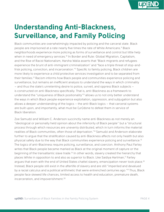

## **Understanding Anti-Blackness, Surveillance, and Family Policing**

Black communities are overwhelmingly impacted by policing and the carceral state. Black people are imprisoned at a rate nearly five times the rate of White Americans.<sup>9</sup> Black neighborhoods experience more policing as forms of surveillance and control but little help when in need of emergency services.<sup>10</sup> In Border and Rule: Global Migration, Capitalism, and the Rise of Racist Nationalism, Harsha Walia asserts that "Black migrants and refugees experience the brunt of anti-immigrant criminalization" and "face a triple threat of stop-andfrisk policing, conviction, and incarceration."<sup>11</sup> Specific to family policing, Black children are more likely to experience a child protective services investigation and to be separated from their families.<sup>12</sup> Racism informs how Black people and communities experience policing and surveillance, but remains an inefficient analysis to understand the ways in which criminality – and thus the state's unrelenting desire to police, surveil, and oppress Black subjects – is constructed on anti-Blackness specifically. That is, anti-Blackness as a framework to understand the "uniqueness of Black positionality"<sup>3</sup> allows us to not only better understand the ways in which Black people experience exploitation, oppression, and subjugation but also allows a deeper understanding of the logics – the anti-Black logics – that carceral systems are built upon, and importantly, what must be (un)done to defeat them in service of Black liberation.

Zoe Samudzi and William C. Anderson succinctly name anti-Blackness as not merely an "ideological or personally held opinion about the inferiority of Black people'' but a "structural process through which resources are unevenly distributed, which in turn informs the material realities of Black communities, often those of deprivation."14 Samudzi and Anderson elaborate further to argue that the stratification caused by anti-Blackness affects not only health but also physical safety due to the way that Black communities experience policing and surveillance.15 The logics of anti-Blackness require policing, surveillance, and coercion. Anthony Paul Farley writes that Black people became marked as Black at the original moment of capture or the beginning of the transatlantic slave trade.<sup>16</sup> In other words, slavery created the hierarchy that places White in opposition to and also as superior to Black. Like Saidiya Hartman,<sup>17</sup> Farley argues that even with the end of United States chattel slavery, emancipation never took place.<sup>18</sup> Instead, Black people still exist in the afterlife of slavery and are still "imperiled and devalued by a racial calculus and a political arithmetic that were entrenched centuries ago."<sup>19</sup> Thus, Black people face skewed life chances, limited access to health and education, premature death, incarceration, and impoverishment.<sup>20</sup>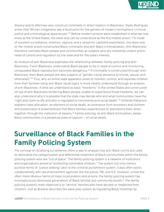

Slavery and its afterlives also construct criminality in direct relation to Blackness. Dylan Rodriguez writes that "African indigeneity was a focal point for the genesis of modern hemispheric criminal justice and criminological apparatuses."<sup>21</sup> Before modern prisons were established in what we now know as the United States, the slave ship can be understood as the first mobile prison.<sup>22</sup> A mode of constant surveillance, violence, capture, and a vessel for capitalist exploitation, the slave ship or the mobile prison constructed Black criminality and anti-Black criminalization. Anti-Blackness therefore contrasts Black people and communities as subjects who are inherently violent and in need of control and regulation by the state and for the state's interest.

An analysis of anti-Blackness explicates the relationship between family policing and anti-Blackness. If anti-Blackness understands Black people to be in need of control and monitoring, unregulated Black reproduction becomes dangerous.<sup>23</sup> If criminality is constructed through anti-Blackness, then Black people are also subjects of "gender-racial deviance (criminal, sexual, and otherwise)."24 Thus, why an entire state apparatus exists to monitor, control, and separate children from their families using anti-Black racial logics is more clearly understood through an analysis of anti-Blackness. If what we understand as basic "freedoms" in the United States are constructed on top of anti-Blackness rendering Black people unable to experience those freedoms, we can also understand why it is possible that the state may decide who and what communities have the "right and claim to life and who is regulated to inhumanity and social death."25 Orlando Patterson explains natal alienation, an element of social death, as severance from ancestors and children and positionality of powerlessness that Black families experienced on plantations even when together through the institution of slavery.<sup>26</sup> Family policing, as anti-Black formulation, keeps Black communities in a perpetual state of capture – of social death.

#### **Surveillance of Black Families in the Family Policing System**

The concept of racializing surveillance offers a way to analyze how anti-Black norms are used to rationalize the categorization and differential treatment of Black communities within the family policing system who are "out of place." The family policing system is a network of institutions and organizations aimed at "protecting vulnerable children.'' The system not only mimics punitive forms of "justice seeking" akin to the criminal punishment system, it also often works collaboratively with law enforcement agencies like the police, FBI, and ICE. However, unlike the often more obvious harms of mass incarceration and prisons, the family policing system has inconspicuously destroyed generations of Black familial and community bonds.27 The family policing system's main objective is to "service" families who have abused or neglected their children. Just as Browne describes the slave pass system as regulating Black mobilities by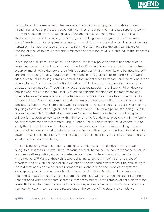

control through the media and other servants, the family policing system dispels its powers through narratives of protection, adoption incentives, and expansive mandated reporting laws.<sup>28</sup> The system does so by investigating calls of suspected maltreatment, referring parents and children to classes and therapies, monitoring and tracking family progress, and in the case of many Black families, forcing family separation through foster care and the termination of parental rights.Each "service" provided by the family policing system requires the physical and digital tracking of families to ensure that risk is mitigated and that the child is "protected" to the standards of the system.

In seeking to fulfill its mission of "saving children," the family policing system has continued to harm Black communities. Recent reports show that Black families are reported for maltreatment at approximately twice the rate of their White counterparts,<sup>29</sup> are more likely to be investigated,<sup>30</sup> and are more likely to be separated from their families and placed in foster care.<sup>31</sup> Social work's adherence to "child-saving" remains central to the project of "child welfare" and the rationalization of surveillance. The "protection" of Black children within the system requires them to become objects and commodities. Though family policing advocates claim that Black children deserve families who can care for them, Black lives are coincidentally entangled in a money-making scheme between federal agencies, charities, and nonprofits. States have been incentivized to remove children from their homes, expediting family separation with little incentive to reunify families. As Abdurahman states, child welfare agencies have little incentive to classify families as anything other than "at risk" given that it is often a prerequisite for a pipeline of funding.<sup>32</sup> While researchers search for statistical explanations for why racism is not a large contributing factor of Black family overrepresentation within the system, the foundational problem within the family policing system consistently remains unquestioned. The problems within "child welfare" are not solely that there is bias or racism that impacts caseworkers in their decision-making – one of the underlying fundamental problems is that the family policing system has been tasked with the power to make these decisions in the first place, and these decisions are based on discretionary standards of risk and well-being.

The family policing system compares families to standardized or "objective" norms of "wellbeing" to assess their risk level. These measures of well-being include caretaker capacity, school readiness, self-regulation, social competence, and "safe, stable, and nurturing relationships with caregivers."<sup>33</sup> Many of these child well-being indicators vary in definition and types of reporters, and as such, the field of child welfare has no standard way of measuring well-being.<sup>34</sup> These discretionary and widespread norms are nevertheless the backbone of the system's investigative process that assesses families based on risk. When families or individuals do not meet the standardized norms of the system they are faced with consequences that range from unannounced visits and random searches from caseworkers, to the removal of children from the home. Black families bear the brunt of these consequences, especially Black families who have significantly lower income and are placed under the control of the state and cumulative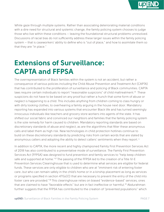

White gaze through multiple systems. Rather than associating deteriorating material conditions with a dire need for structural and systemic change, the family policing system chooses to judge those who live within these conditions – leaving the foundational structural problems unresolved. Discussions of racial bias do not sufficiently address these larger issues within the family policing system – that is caseworkers' ability to define who is "out of place," and how to assimilate them so that they are "in place."

### **Extensions of Surveillance: CAPTA and FFPSA**

The overrepresentation of Black families within the system is not an accident, but rather a consequence of various policies including the Child Abuse Prevention and Treatment Act (CAPTA) that has contributed to the proliferation of surveillance and policing of Black communities. CAPTA laws require certain individuals to report "reasonable suspicions" of child maltreatment.<sup>35</sup> These suspicions do not have to be based on any proof but rather a hunch that some form of abuse or neglect is happening to a child. This includes anything from children coming to class hungry or with dirty looking clothes, to overhearing a family arguing in the house next door. Mandatory reporting has expanded into various systems that encounter Black life and has turned seemingly innocuous individuals like teachers and grocery store workers into agents of the state. It has shifted our social fabric and convinced our neighbors and families that the family policing system is the sole remedy for harm caused to children. Mandatory reporting standards are based on discretionary standards of abuse and neglect, as are the algorithms that filter these anonymous calls and label them as high risk. New technologies in child protection hotlines continue to build on these discretionary standards by predicting risks from certain words that are stated by anonymous callers and adopting the ability to detect callers' sentiments when they report.<sup>36</sup>

In addition to CAPTA, the more recent and highly championed Family First Prevention Services Act of 2018 has also contributed to a preventative mode of surveillance. The Family First Prevention Services Act (FFPSA) was designed to fund prevention and family services to "help keep children safe and supported at home."<sup>37</sup> The passing of the FFPSA led to the creation of a Title IV-E Prevention Services Clearinghouse that is used to determine what services are eligible for federal funds. These services are only eligible to children who are at "imminent risk of entering foster care…but who can remain safely in the child's home or in a kinship placement as long as services or programs specified in section  $471(e)(1)$  that are necessary to prevent the entry of the child into foster care are provided."38 This clearinghouse relies on biased "evidence-based" services, ones that are claimed to have "favorable effects" but are in fact ineffective or harmful.<sup>39</sup> Abdurahman further suggests that the FFPSA has contributed to the creation of "prevented populations'' which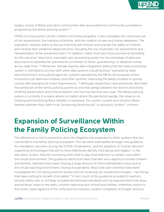

largely consist of Black and Latinx communities who are pushed into community surveillance programs by the family policing system.40

FFPSA not only pushes certain children into these programs, it also mandates the continued use of risk assessments, the tracking of families, and the creation of new and shared databases. The legislation requires states to discuss how they will monitor and oversee the safety of children who receive their evidence-based services, including the use of periodic risk assessments and reexamination of the prevention plan.<sup>41</sup> In addition, states must also show procedures providing for the use of an "electronic interstate case-processing system for the exchange of data and documents to expedite the placements of children in foster, guardianship, or adoptive homes across state lines."<sup>42</sup> Moreover, the law requires data integration stating that the case-processing system is intended to connect with other data systems including those "operated by state law enforcement and judicial agencies, systems operated by the FBI for the purposes of the Innocence Lost National Initiative, and other systems; improving the ability of states to quickly comply with background check requirements."43 Although researchers have previously described the pendulum of the family policing system as one that swings between the distinct dichotomy of family preservation and child protection, this line has become less clear. The family policing system is currently in a space where no matter where the pendulum swings, the reliance on tracking and monitoring Black families is necessary. The system surveils and monitors Black families whether they claim to be "preserving family bonds" or aiming to "protect" children.

### **Expansion of Surveillance Within the Family Policing Ecosystem**

The adherence to harm prevention and risk mitigation has expanded to other systems that are connected to the family policing ecosystem. This has been exemplified through new guidance for mandatory reporters during the COVID-19 pandemic, and the adoption of "human decision" supporting technologies that aim to more effectively identify child abuse and neglect. In the education system, teachers are being instructed to pay close attention to certain cues within the virtual environment. This guidance stems from fears that with less capacity to surveil children and families, teachers have been missing a large amount of child maltreatment cases due to the virtual teaching environment. During the pandemic Black and Latinx families have been investigated for not having internet access and not receiving city-issued technologies – two things that have nothing to do with child safety.<sup>44</sup> In fact, much of the guidance provided to teachers around safety risks or red flags included discretionary standards such as exposed electrical wires, animal feces, holes in the walls, children reporting lack of food and utilities, unfamiliar visitors to the home, hypervigilance of the child and nervousness, student complaints of hunger, and any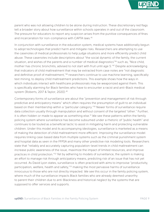

parent who was not allowing children to be alone during instruction. These discretionary red flags tell a broader story about how surveillance within schools operates in and out of the classroom. The pressure for educators to report any suspicion arises from the punitive consequences of fines and incarceration for non-compliance with CAPTA laws.<sup>45</sup>

In conjunction with surveillance in the education system, medical systems have additionally begun to adopt technologies that predict harm and mitigate risks. Researchers are attempting to use the casenotes of medical professionals to help judge situations and more efficiently predict child abuse. These casenotes include descriptions about "the social dynamic of the family, the current situation, and wishes of the parents and a number of medical diagnostics"<sup>46</sup> such as, "Nice child, mother has chronic bronchitis, advised to not start with fruit until age 5."47 Despite acknowledging that indicators of child maltreatment that may be extracted from case notes are "not diagnostic and definitive proof of maltreatment,"48 researchers continue to use machine learning, specifically text mining, to deploy child maltreatment predictions. This example shows how the ways in which individuals interact with healthcare professionals may be weaponized against them. This is specifically alarming for Black families who have to encounter a racist and anti-Black medical system (Roberts, 2017 & Taylor, 2020).49

Contemporary forms of surveillance are about the "prevention and management of risk through predictive and anticipatory means" which often requires the presumption of guilt to an individual based on their membership within a "particular category."50 Newer forms of surveillance require data collection usually through manipulation and without consent of the targeted "other." Further, it is often hidden or made to appear as something else.<sup>51</sup> We see these patterns within the family policing system where surveillance has become subsumed under a rhetoric of "public health" and continues to be touted as a beneficial tactic to assist in mitigating harm and protecting vulnerable children. Under this model and its accompanying ideologies, surveillance is marketed as a means of making the detection of child maltreatment more efficient. Improving the surveillance model requires linking case-based data from multiple systems such as the criminal punishment system and hospital data as seen in the FFPSA and many other predictive risk modeling tools. Researchers state that "reliably and accurately capturing population-level trends in child maltreatment can increase public awareness of the issue, maximize the impact of limited resources, and improve practices in child protection."52 Yet by adhering to models of surveillance, the system is making an effort to manage risk through anticipatory means, predicting risk of an issue that has not yet occurred. As David Lyon states, surveillance is often practiced with aims to improvise "productivity, participation, welfare, health and safety,"<sup>53</sup> making the most pervasive harms of surveillance innocuous to those who are not directly impacted. We see this occur in the family policing system, where much of the surveillance impacts Black families who are already deemed unworthy to parent their children due to anti-Blackness and historical neglect by the systems that are supposed to offer services and supports.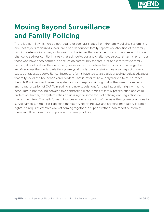

# **Moving Beyond Surveillance and Family Policing**

There is a path in which we do not require or seek assistance from the family policing system. It is one that rejects racialized surveillance and denounces family separation. Abolition of the family policing system is in no way a utopian fix to the issues that underlie our communities – but it is a chance to address conflict in a way that acknowledges and challenges structural harms, prioritizes those who have been harmed, and relies on community for care. Countless reforms to family policing do not address the underlying issues within the system. Reforms fail to challenge the anti-Blackness that undergirds the system (and the larger society) – they also neglect the root causes of racialized surveillance. Instead, reforms have led to an uptick of technological advances that reify racialized boundaries and borders. That is, reforms have only worked to re-entrench the anti-Blackness and harm the system causes despite claiming to do otherwise. The expansion and reauthorization of CAPTA in addition to new stipulations for data integration signify that the pendulum is not moving between two contrasting dichotomies of family preservation and child protection. Rather, the system relies on utilizing the same tools of policing and regulation no matter the intent. The path forward involves an understanding of the ways the system continues to surveil families. It requires repealing mandatory reporting laws and creating mandatory Miranda rights.54 It requires creative ways of coming together to support rather than report our family members. It requires the complete end of family policing.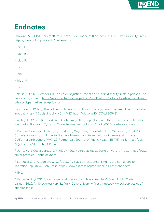

#### **Endnotes**

1. Browne, S. (2015). Dark matters: On the surveillance of Blackness (p. 10). Duke University Press. <https://www.dukeupress.edu/dark-matters>

2. Ibid., 18[.](https://doi.org/10.1542/peds.2020-049625 )

3. Ibid., 162.

4. Ibid., 17.

 $5.$  Ibid.

 $6.$  Ibid.

7. Ibid., 49.

 $8.$  Ibid.

9. Nellis, A. (2021, October 13). The color of justice: Racial and ethnic disparity in state prisons. The Sentencing Project. [https://www.sentencingproject.org/publications/color-of-justice-racial-and](https://www.sentencingproject.org/publications/color-of-justice-racial-and-ethnic-disparity-in-state-prisons/)[ethnic-disparity-in-state-prisons/](https://www.sentencingproject.org/publications/color-of-justice-racial-and-ethnic-disparity-in-state-prisons/)

10. Gordon, D. (2020). The police as place-consolidators: The organizational amplification of urban inequality. Law & Social Inquiry, 45(1), 1-27. [https://doi.org/10.1017/lsi.2019.31](https://www.cambridge.org/core/journals/law-and-social-inquiry/article/police-as-placeconsolidators-the-organizational-amplification-of-urban-inequality/D67D4B3CA01CA42DBC75CC10216160DE)

11. Walia, HJ. (2021). Border & rule: Global migration, capitalism, and the rise of racist nationalism. Haymarket Books (p. 31). <https://www.haymarketbooks.org/books/1553-border-and-rule>

12. Putnam-Hornstein, E., Ahn, E., Prindle, J., Magruder, J., Webster, D., & Wildeman, C. (2021). Cumulative rates of child protection involvement and terminations of parental rights in a California birth cohort, 1999-2017. American Journal of Public Health, 111, 1157-1163. [https://doi.](https://ajph.aphapublications.org/doi/full/10.2105/AJPH.2021.306214) [org/10.2105/AJPH.2021.306214](https://ajph.aphapublications.org/doi/full/10.2105/AJPH.2021.306214)

13. Jung, M., & Costa Vargas, J. H. (Eds.). (2021). Antiblackness. Duke University Press. [https://www.](https://www.dukeupress.edu/antiblackness) [dukeupress.edu/antiblackness](https://www.dukeupress.edu/antiblackness)

14. Samudzi, Z., & Anderson, W. C. (2018). As Black as resistance: Finding the conditions for liberation (pp. 48-49). AK Press. <https://www.akpress.org/as-black-as-resistance.html>

15. Ibid.

16. Farley, A. P. (2021). Toward a general theory of antiblackness. In M. Jung & J. H. Costa Vargas (Eds.), Antiblackness (pp. 82-106). Duke University Press. [https://www.dukeupress.edu/](https://www.dukeupress.edu/antiblackness) [antiblackness](https://www.dukeupress.edu/antiblackness)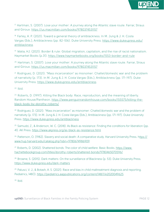**END**

<sup>17.</sup> Hartman, S. (2007). Lose your mother: A journey along the Atlantic slave route. Farrar, Straus and Giroux.<https://us.macmillan.com/books/9780374531157>

18. Farley, A. P. (2021). Toward a general theory of antiblackness. In M. Jung & J. H. Costa Vargas (Eds.), Antiblackness (pp. 82-106). Duke University Press. [https://www.dukeupress.edu/](https://www.dukeupress.edu/antiblackness) [antiblackness](https://www.dukeupress.edu/antiblackness)

19. Walia, HJ. (2021). Border & rule: Global migration, capitalism, and the rise of racist nationalism. Haymarket Books (p.31). <https://www.haymarketbooks.org/books/1553-border-and-rule>

<sup>20.</sup> Hartman, S. (2007). Lose your mother: A journey along the Atlantic slave route. Farrar, Straus [and Giroux. https://us.macmillan.com/books/9780374531157](https://www.haymarketbooks.org/books/1553-border-and-rule)

<sup>21.</sup> Rodriguez, D. (2021). "Mass incarceration" as misnomer: Chattel/domestic war and the problem of narrativity (p. 173). In M. Jung & J. H. Costa Vargas (Eds.), Antiblackness (pp. 171-197). Duke University Press. <https://www.dukeupress.edu/antiblackness>

 $22.$  Ibid.

<sup>23.</sup> Roberts, D. (1997). Killing the Black body: Race, reproduction, and the meaning of liberty. Random House/Pantheon. [https://www.penguinrandomhouse.com/books/155575/killing-the](https://www.penguinrandomhouse.com/books/155575/killing-the-black-body-by-dorothy-roberts/)[black-body-by-dorothy-roberts/](https://www.penguinrandomhouse.com/books/155575/killing-the-black-body-by-dorothy-roberts/)

24. Rodriguez, D. (2021). "Mass incarceration" as misnomer: Chattel/domestic war and the problem of narrativity (p. 173). In M. Jung & J. H. Costa Vargas (Eds.), Antiblackness (pp. 171-197). Duke University Press.<https://www.dukeupress.edu/antiblackness>

25. Samudzi, Z., & Anderson, W. C. (2018). As Black as resistance: Finding the conditions for liberation (pp. 41). AK Press.<https://www.akpress.org/as-black-as-resistance.html>

26. Patterson, O. (1982). Slavery and social death: A comparative study. Harvard University Press. [https://](https://www.hup.harvard.edu/catalog.php?isbn=9780674986909) [www.hup.harvard.edu/catalog.php?isbn=9780674986909](https://www.hup.harvard.edu/catalog.php?isbn=9780674986909)

27. Roberts, D. (2002). Shattered bonds: The color of child welfare. Basic Books. [https://www.](https://www.hachettebookgroup.com/titles/dorothy-roberts/shattered-bonds/9780465070596/) [hachettebookgroup.com/titles/dorothy-roberts/shattered-bonds/9780465070596/](https://www.hachettebookgroup.com/titles/dorothy-roberts/shattered-bonds/9780465070596/)

<sup>28.</sup> Browne, S. (2015). Dark matters: On the surveillance of Blackness (p. 53). Duke University Press. <https://www.dukeupress.edu/dark-matters>

29. Palusci, V. J., & Botash, A. S. (2021). Race and bias in child maltreatment diagnosis and reporting. Pediatrics, 148(1). [https://pediatrics.aappublications.org/content/148/1/e2020049625](https://publications.aap.org/pediatrics/article/148/1/e2020049625/179923/Race-and-Bias-in-Child-Maltreatment-Diagnosis-and)

30. Ibid.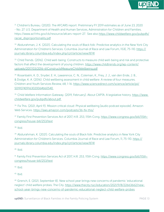

31. Children's Bureau. (2020). The AFCARS report: Preliminary FY 2019 estimates as of June 23, 2020 - No. 27. U.S. Department of Health and Human Services, Administration for Children and Families. [https://www.acf.hhs.gov/cb/resource/afcars-report-27.](https://www.acf.hhs.gov/cb/resource/afcars-report-27) See also [https://www.childwelfare.gov/pubpdfs/](https://www.childwelfare.gov/pubpdfs/racial_disproportionality.pdf) [racial\\_disproportionality.pdf](https://www.childwelfare.gov/pubpdfs/racial_disproportionality.pdf)

32. Abdurahman, J. K. (2021). Calculating the souls of Black folk: Predictive analytics in the New York City Administration for Children's Services. Columbia Journal of Race and Law Forum, 11(4), 75-110. [https://](https://journals.library.columbia.edu/index.php/cjrl/article/view/8741) [journals.library.columbia.edu/index.php/cjrl/article/view/8741](https://journals.library.columbia.edu/index.php/cjrl/article/view/8741)

33. Child Trends. (2016). Child well-being: Constructs to measure child well-being and risk and protective factors that affect the development of young children. [https://www.childtrends.org/wp-content/](https://www.childtrends.org/wp-content/uploads/2017/03/2016-61ConstructsMeasureChildWellbeing.pdf) [uploads/2017/03/2016-61ConstructsMeasureChildWellbeing.pdf](https://www.childtrends.org/wp-content/uploads/2017/03/2016-61ConstructsMeasureChildWellbeing.pdf)

34. Rosanbalm, K. D., Snyder, E. H., Lawarence, C. N., Coleman, K., Frey, J. J., van den Ende, J. B., & Dodge, K. A. (2016). Child wellbeing assessment in child welfare: A review of four measures. Children and Youth Services Review, 68, 1-16. [https://www.sciencedirect.com/science/article/pii/](https://www.sciencedirect.com/science/article/pii/S0190740916302006#bb0540) [S0190740916302006#bb0540](https://www.sciencedirect.com/science/article/pii/S0190740916302006#bb0540) 

35. Child Welfare Information Gateway. (2019, February). About CAPTA: A legislative history. [https://www.](https://www.childwelfare.gov/pubpdfs/about.pdf) [childwelfare.gov/pubpdfs/about.pdf](https://www.childwelfare.gov/pubpdfs/about.pdf)

36. Fix This. (2021, April 9). Mission critical cloud: Physical wellbeing [audio podcast episode]. Amazon Web Services. <https://aws.amazon.com/podcasts/36-fix-this/>

37. Family First Prevention Services Act of 2017, H.R. 253, 115th Cong. [https://www.congress.gov/bill/115th](https://www.congress.gov/bill/115th-congress/house-bill/253/text)[congress/house-bill/253/text](https://www.congress.gov/bill/115th-congress/house-bill/253/text)

38. Ibid.

39. Abdurahman, K. (2021). Calculating the souls of Black folk: Predictive analytics in New York City Administration for Children's Services. Columbia Journal of Race and Law Forum, 11, 75-110. [https://](https://journals.library.columbia.edu/index.php/cjrl/article/view/8741 ) [journals.library.columbia.edu/index.php/cjrl/article/view/8741](https://journals.library.columbia.edu/index.php/cjrl/article/view/8741 )

40. Ibid.

41. Family First Prevention Services Act of 2017, H.R. 253, 115th Cong. [https://www.congress.gov/bill/115th](https://www.congress.gov/bill/115th-congress/house-bill/253/text)[congress/house-bill/253/text](https://www.congress.gov/bill/115th-congress/house-bill/253/text)

42. Ibid.

 $43.$  Ibid.

44. Grench, E. (2021, September 8). New school year brings new concerns of pandemic 'educational neglect' child welfare probes. The City. [https://www.thecity.nyc/education/2021/9/8/22663662/new](https://www.thecity.nyc/education/2021/9/8/22663662/new-school-year-brings-new-concerns-of-pandemic-)[school-year-brings-new-concerns-of-pandemic-educational-neglect-child-welfare-probes](https://www.thecity.nyc/education/2021/9/8/22663662/new-school-year-brings-new-concerns-of-pandemic-)